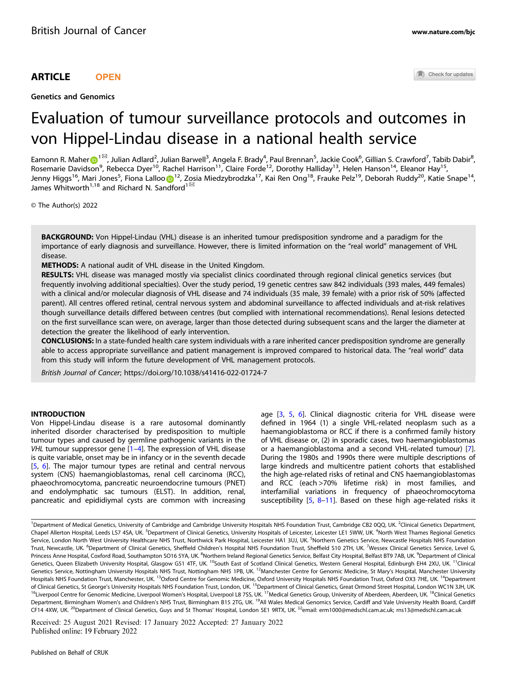## ARTICLE **OPEN**

Genetics and Genomics

Check for updates

# Evaluation of tumour surveillance protocols and outcomes in von Hippel-Lindau disease in a national health service

Eamonn R. Mahe[r](http://orcid.org/0000-0002-6226-6918) $\odot$ [1](http://orcid.org/0000-0002-6226-6918) $^{\boxtimes}$ , Julian Adlard $^2$ , Julian Barwell $^3$ , Angela F. Brady $^4$ , Paul Brennan $^5$ , Jackie Cook $^6$ , Gillian S. Crawford $^7$ , Tabib Dabir $^8$ , Rosemarie Davidson<sup>9</sup>, Rebecca Dyer<sup>10</sup>, Rachel Harrison<sup>11</sup>, Claire Forde<sup>12</sup>, Dorothy Halliday<sup>13</sup>, Helen Hanson<sup>14</sup>, Eleanor Hay<sup>15</sup>, Jenny Higgs<sup>16</sup>, Mari J[o](http://orcid.org/0000-0002-0612-8377)nes<sup>5</sup>, Fiona Lalloo D<sup>[1](http://orcid.org/0000-0002-0612-8377)2</sup>, Zosia Miedzybrodzka<sup>17</sup>, Kai Ren Ong<sup>18</sup>, Frauke Pelz<sup>19</sup>, Deborah Ruddy<sup>20</sup>, Katie Snape<sup>14</sup>, James Whitworth<sup>1,18</sup> and Richard N. Sandford<sup>1 $\text{ }^{\text{ }^\text{}}$ </sup>

© The Author(s) 2022

BACKGROUND: Von Hippel-Lindau (VHL) disease is an inherited tumour predisposition syndrome and a paradigm for the importance of early diagnosis and surveillance. However, there is limited information on the "real world" management of VHL disease.

METHODS: A national audit of VHL disease in the United Kingdom.

RESULTS: VHL disease was managed mostly via specialist clinics coordinated through regional clinical genetics services (but frequently involving additional specialties). Over the study period, 19 genetic centres saw 842 individuals (393 males, 449 females) with a clinical and/or molecular diagnosis of VHL disease and 74 individuals (35 male, 39 female) with a prior risk of 50% (affected parent). All centres offered retinal, central nervous system and abdominal surveillance to affected individuals and at-risk relatives though surveillance details differed between centres (but complied with international recommendations). Renal lesions detected on the first surveillance scan were, on average, larger than those detected during subsequent scans and the larger the diameter at detection the greater the likelihood of early intervention.

CONCLUSIONS: In a state-funded health care system individuals with a rare inherited cancer predisposition syndrome are generally able to access appropriate surveillance and patient management is improved compared to historical data. The "real world" data from this study will inform the future development of VHL management protocols.

British Journal of Cancer;<https://doi.org/10.1038/s41416-022-01724-7>

## **INTRODUCTION**

Von Hippel-Lindau disease is a rare autosomal dominantly inherited disorder characterised by predisposition to multiple tumour types and caused by germline pathogenic variants in the VHL tumour suppressor gene [[1](#page-4-0)–[4\]](#page-5-0). The expression of VHL disease is quite variable, onset may be in infancy or in the seventh decade [\[5,](#page-5-0) [6\]](#page-5-0). The major tumour types are retinal and central nervous system (CNS) haemangioblastomas, renal cell carcinoma (RCC), phaeochromocytoma, pancreatic neuroendocrine tumours (PNET) and endolymphatic sac tumours (ELST). In addition, renal, pancreatic and epididiymal cysts are common with increasing age [[3,](#page-5-0) [5,](#page-5-0) [6\]](#page-5-0). Clinical diagnostic criteria for VHL disease were defined in 1964 (1) a single VHL-related neoplasm such as a haemangioblastoma or RCC if there is a confirmed family history of VHL disease or, (2) in sporadic cases, two haemangioblastomas or a haemangioblastoma and a second VHL-related tumour) [\[7\]](#page-5-0). During the 1980s and 1990s there were multiple descriptions of large kindreds and multicentre patient cohorts that established the high age-related risks of retinal and CNS haemangioblastomas and RCC (each >70% lifetime risk) in most families, and interfamilial variations in frequency of phaeochromocytoma susceptibility [\[5,](#page-5-0) [8](#page-5-0)–[11](#page-5-0)]. Based on these high age-related risks it

Received: 25 August 2021 Revised: 17 January 2022 Accepted: 27 January 2022

<sup>&</sup>lt;sup>1</sup>Department of Medical Genetics, University of Cambridge and Cambridge University Hospitals NHS Foundation Trust, Cambridge CB2 0QQ, UK. <sup>2</sup>Clinical Genetics Department, Chapel Allerton Hospital, Leeds LS7 4SA, UK. <sup>3</sup>Department of Clinical Genetics, University Hospitals of Leicester, Leicester LE1 5WW, UK. <sup>4</sup>North West Thames Regional Genetics Service, London North West University Healthcare NHS Trust, Northwick Park Hospital, Leicester HA1 3UJ, UK. <sup>5</sup>Northern Genetics Service, Newcastle Hospitals NHS Foundation Trust, Newcastle, UK. <sup>6</sup>Department of Clinical Genetics, Sheffield Children's Hospital NHS Foundation Trust, Sheffield S10 2TH, UK. <sup>7</sup>Wessex Clinical Genetics Service, Level G, Princess Anne Hospital, Coxford Road, Southampton SO16 5YA, UK. <sup>8</sup>Northern Ireland Regional Genetics Service, Belfast City Hospital, Belfast BT9 7AB, UK. <sup>9</sup>Department of Clinical Genetics, Queen Elizabeth University Hospital, Glasgow G51 4TF, UK. <sup>10</sup>South East of Scotland Clinical Genetics, Western General Hospital, Edinburgh EH4 2XU, UK. <sup>11</sup>Clinical Genetics Service, Nottingham University Hospitals NHS Trust, Nottingham NH5 1PB, UK. <sup>12</sup>Manchester Centre for Genomic Medicine, St Mary's Hospital, Manchester University Hospitals NHS Foundation Trust, Manchester, UK. <sup>13</sup>Oxford Centre for Genomic Medicine, Oxford University Hospitals NHS Foundation Trust, Oxford OX3 7HE, UK. <sup>14</sup>Department of Clinical Genetics, St George's University Hospitals NHS Foundation Trust, London, UK. <sup>15</sup>Department of Clinical Genetics, Great Ormond Street Hospital, London WC1N 3JH, UK. <sup>16</sup>Liverpool Centre for Genomic Medicine, Liverpool Women's Hospital, Liverpool L8 7SS, UK.<sup>17</sup>Medical Genetics Group, University of Aberdeen, Aberdeen, UK.<sup>18</sup>Clinical Genetics Department, Birmingham Women's and Children's NHS Trust, Birmingham B15 2TG, UK. <sup>19</sup>All Wales Medical Genomics Service, Cardiff and Vale University Health Board, Cardiff CF14 4XW, UK. <sup>20</sup>Department of Clinical Genetics, Guys and St Thomas' Hospital, London SE1 9RTX, UK. <sup>⊠</sup>email: [erm1000@medschl.cam.ac.uk;](mailto:erm1000@medschl.cam.ac.uk) [rns13@medschl.cam.ac.uk](mailto:rns13@medschl.cam.ac.uk)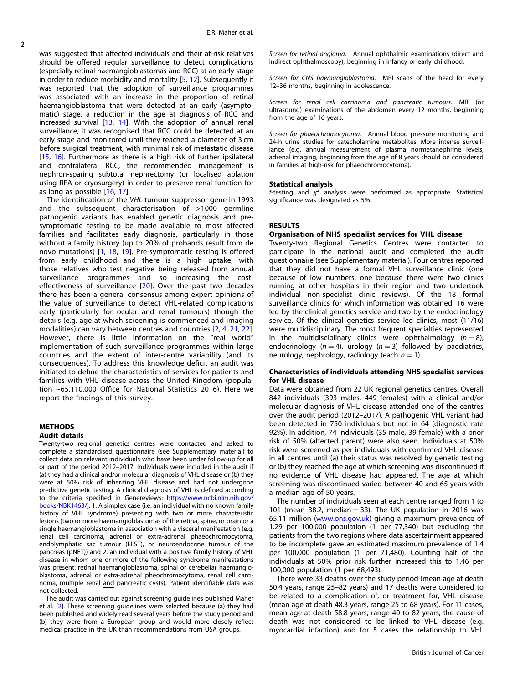$\overline{2}$ 

was suggested that affected individuals and their at-risk relatives should be offered regular surveillance to detect complications (especially retinal haemangioblastomas and RCC) at an early stage in order to reduce morbidity and mortality [\[5,](#page-5-0) [12](#page-5-0)]. Subsequently it was reported that the adoption of surveillance programmes was associated with an increase in the proportion of retinal haemangioblastoma that were detected at an early (asymptomatic) stage, a reduction in the age at diagnosis of RCC and increased survival  $[13, 14]$  $[13, 14]$  $[13, 14]$ . With the adoption of annual renal surveillance, it was recognised that RCC could be detected at an early stage and monitored until they reached a diameter of 3 cm before surgical treatment, with minimal risk of metastatic disease [[15,](#page-5-0) [16](#page-5-0)]. Furthermore as there is a high risk of further ipsilateral and contralateral RCC, the recommended management is nephron-sparing subtotal nephrectomy (or localised ablation using RFA or cryosurgery) in order to preserve renal function for as long as possible [[16](#page-5-0), [17\]](#page-5-0).

The identification of the VHL tumour suppressor gene in 1993 and the subsequent characterisation of >1000 germline pathogenic variants has enabled genetic diagnosis and presymptomatic testing to be made available to most affected families and facilitates early diagnosis, particularly in those without a family history (up to 20% of probands result from de novo mutations) [[1](#page-4-0), [18](#page-5-0), [19\]](#page-5-0). Pre-symptomatic testing is offered from early childhood and there is a high uptake, with those relatives who test negative being released from annual surveillance programmes and so increasing the cost-effectiveness of surveillance [\[20\]](#page-5-0). Over the past two decades there has been a general consensus among expert opinions of the value of surveillance to detect VHL-related complications early (particularly for ocular and renal tumours) though the details (e.g. age at which screening is commenced and imaging modalities) can vary between centres and countries [\[2](#page-4-0), [4,](#page-5-0) [21](#page-5-0), [22\]](#page-5-0). However, there is little information on the "real world" implementation of such surveillance programmes within large countries and the extent of inter-centre variability (and its consequences). To address this knowledge deficit an audit was initiated to define the characteristics of services for patients and families with VHL disease across the United Kingdom (population ~65,110,000 Office for National Statistics 2016). Here we report the findings of this survey.

## METHODS Audit details

Twenty-two regional genetics centres were contacted and asked to complete a standardised questionnaire (see Supplementary material) to collect data on relevant individuals who have been under follow-up for all or part of the period 2012–2017. Individuals were included in the audit if (a) they had a clinical and/or molecular diagnosis of VHL disease or (b) they were at 50% risk of inheriting VHL disease and had not undergone predictive genetic testing. A clinical diagnosis of VHL is defined according to the criteria specified in Genereviews: [https://www.ncbi.nlm.nih.gov/](https://www.ncbi.nlm.nih.gov/books/NBK1463/) [books/NBK1463/\)](https://www.ncbi.nlm.nih.gov/books/NBK1463/): 1. A simplex case (i.e. an individual with no known family history of VHL syndrome) presenting with two or more characteristic lesions (two or more haemangioblastomas of the retina, spine, or brain or a single haemangioblastoma in association with a visceral manifestation (e.g. renal cell carcinoma, adrenal or extra-adrenal phaeochromocytoma, endolymphatic sac tumour (ELST), or neuroendocrine tumour of the pancreas (pNET)) and 2. an individual with a positive family history of VHL disease in whom one or more of the following syndrome manifestations was present: retinal haemangioblastoma, spinal or cerebellar haemangioblastoma, adrenal or extra-adrenal pheochromocytoma, renal cell carcinoma, multiple renal and pancreatic cysts). Patient identifiable data was not collected.

The audit was carried out against screening guidelines published Maher et al. [\[2](#page-4-0)]. These screening guidelines were selected because (a) they had been published and widely read several years before the study period and (b) they were from a European group and would more closely reflect medical practice in the UK than recommendations from USA groups.

Screen for retinal angioma. Annual ophthalmic examinations (direct and indirect ophthalmoscopy), beginning in infancy or early childhood.

Screen for CNS haemangioblastoma. MRI scans of the head for every 12–36 months, beginning in adolescence.

Screen for renal cell carcinoma and pancreatic tumours. MRI (or ultrasound) examinations of the abdomen every 12 months, beginning from the age of 16 years.

Screen for phaeochromocytoma. Annual blood pressure monitoring and 24-h urine studies for catecholamine metabolites. More intense surveillance (e.g. annual measurement of plasma normetanephrine levels, adrenal imaging, beginning from the age of 8 years should be considered in families at high-risk for phaeochromocytoma).

#### Statistical analysis

*t*-testing and  $\chi^2$  analysis were performed as appropriate. Statistical significance was designated as 5%.

## RESULTS

## Organisation of NHS specialist services for VHL disease

Twenty-two Regional Genetics Centres were contacted to participate in the national audit and completed the audit questionnaire (see Supplementary material). Four centres reported that they did not have a formal VHL surveillance clinic (one because of low numbers, one because there were two clinics running at other hospitals in their region and two undertook individual non-specialist clinic reviews). Of the 18 formal surveillance clinics for which information was obtained, 16 were led by the clinical genetics service and two by the endocrinology service. Of the clinical genetics service led clinics, most (11/16) were multidisciplinary. The most frequent specialties represented in the multidisciplinary clinics were ophthalmology  $(n = 8)$ , endocrinology  $(n = 4)$ , urology  $(n = 3)$  followed by paediatrics, neurology, nephrology, radiology (each  $n = 1$ ).

## Characteristics of individuals attending NHS specialist services for VHL disease

Data were obtained from 22 UK regional genetics centres. Overall 842 individuals (393 males, 449 females) with a clinical and/or molecular diagnosis of VHL disease attended one of the centres over the audit period (2012–2017). A pathogenic VHL variant had been detected in 750 individuals but not in 64 (diagnostic rate 92%). In addition, 74 individuals (35 male, 39 female) with a prior risk of 50% (affected parent) were also seen. Individuals at 50% risk were screened as per individuals with confirmed VHL disease in all centres until (a) their status was resolved by genetic testing or (b) they reached the age at which screening was discontinued if no evidence of VHL disease had appeared. The age at which screening was discontinued varied between 40 and 65 years with a median age of 50 years.

The number of individuals seen at each centre ranged from 1 to 101 (mean 38.2, median  $=$  33). The UK population in 2016 was 65.11 million ([www.ons.gov.uk](http://www.ons.gov.uk)) giving a maximum prevalence of 1.29 per 100,000 population (1 per 77,340) but excluding the patients from the two regions where data ascertainment appeared to be incomplete gave an estimated maximum prevalence of 1.4 per 100,000 population (1 per 71,480). Counting half of the individuals at 50% prior risk further increased this to 1.46 per 100,000 population (1 per 68,493).

There were 33 deaths over the study period (mean age at death 50.4 years, range 25–82 years) and 17 deaths were considered to be related to a complication of, or treatment for, VHL disease (mean age at death 48.3 years, range 25 to 68 years). For 11 cases, mean age at death 58.8 years, range 40 to 82 years, the cause of death was not considered to be linked to VHL disease (e.g. myocardial infaction) and for 5 cases the relationship to VHL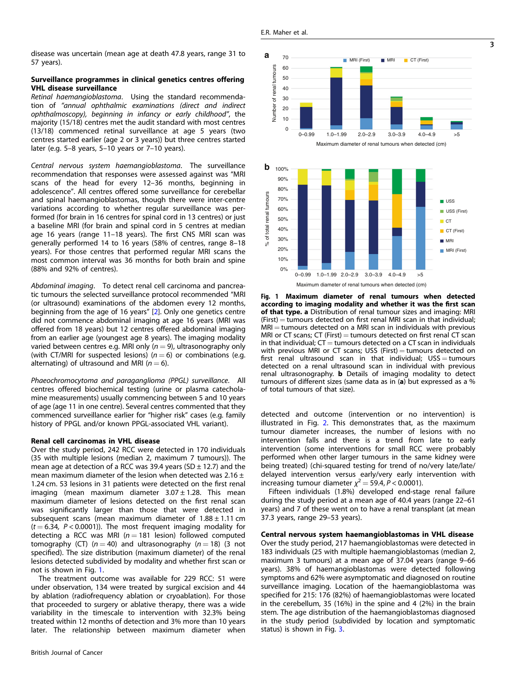## <span id="page-2-0"></span>Surveillance programmes in clinical genetics centres offering VHL disease surveillance

Retinal haemangioblastoma. Using the standard recommendation of "annual ophthalmic examinations (direct and indirect ophthalmoscopy), beginning in infancy or early childhood", the majority (15/18) centres met the audit standard with most centres (13/18) commenced retinal surveillance at age 5 years (two centres started earlier (age 2 or 3 years)) but three centres started later (e.g. 5–8 years, 5–10 years or 7–10 years).

Central nervous system haemangioblastoma. The surveillance recommendation that responses were assessed against was "MRI scans of the head for every 12–36 months, beginning in adolescence". All centres offered some surveillance for cerebellar and spinal haemangioblastomas, though there were inter-centre variations according to whether regular surveillance was performed (for brain in 16 centres for spinal cord in 13 centres) or just a baseline MRI (for brain and spinal cord in 5 centres at median age 16 years (range 11–18 years). The first CNS MRI scan was generally performed 14 to 16 years (58% of centres, range 8–18 years). For those centres that performed regular MRI scans the most common interval was 36 months for both brain and spine (88% and 92% of centres).

Abdominal imaging. To detect renal cell carcinoma and pancreatic tumours the selected surveillance protocol recommended "MRI (or ultrasound) examinations of the abdomen every 12 months, beginning from the age of 16 years" [\[2\]](#page-4-0). Only one genetics centre did not commence abdominal imaging at age 16 years (MRI was offered from 18 years) but 12 centres offered abdominal imaging from an earlier age (youngest age 8 years). The imaging modality varied between centres e.g. MRI only ( $n = 9$ ), ultrasonography only (with CT/MRI for suspected lesions) ( $n = 6$ ) or combinations (e.g. alternating) of ultrasound and MRI ( $n = 6$ ).

Phaeochromocytoma and paraganglioma (PPGL) surveillance. All centres offered biochemical testing (urine or plasma catecholamine measurements) usually commencing between 5 and 10 years of age (age 11 in one centre). Several centres commented that they commenced surveillance earlier for "higher risk" cases (e.g. family history of PPGL and/or known PPGL-associated VHL variant).

#### Renal cell carcinomas in VHL disease

Over the study period, 242 RCC were detected in 170 individuals (35 with multiple lesions (median 2, maximum 7 tumours)). The mean age at detection of a RCC was 39.4 years (SD  $\pm$  12.7) and the mean maximum diameter of the lesion when detected was  $2.16 \pm$ 1.24 cm. 53 lesions in 31 patients were detected on the first renal imaging (mean maximum diameter  $3.07 \pm 1.28$ . This mean maximum diameter of lesions detected on the first renal scan was significantly larger than those that were detected in subsequent scans (mean maximum diameter of  $1.88 \pm 1.11$  cm  $(t = 6.34, P < 0.0001)$ ). The most frequent imaging modality for detecting a RCC was MRI ( $n = 181$  lesion) followed computed tomography (CT) ( $n = 40$ ) and ultrasonography ( $n = 18$ ) (3 not specified). The size distribution (maximum diameter) of the renal lesions detected subdivided by modality and whether first scan or not is shown in Fig. 1.

The treatment outcome was available for 229 RCC: 51 were under observation, 134 were treated by surgical excision and 44 by ablation (radiofrequency ablation or cryoablation). For those that proceeded to surgery or ablative therapy, there was a wide variability in the timescale to intervention with 32.3% being treated within 12 months of detection and 3% more than 10 years later. The relationship between maximum diameter when





Fig. 1 Maximum diameter of renal tumours when detected according to imaging modality and whether it was the first scan of that type. a Distribution of renal tumour sizes and imaging: MRI  $(First) =$  tumours detected on first renal MRI scan in that individual;  $MRI =$  tumours detected on a MRI scan in individuals with previous MRI or CT scans; CT (First)  $=$  tumours detected on first renal CT scan in that individual;  $CT =$  tumours detected on a  $CT$  scan in individuals with previous MRI or CT scans; USS (First)  $=$  tumours detected on first renal ultrasound scan in that individual;  $USS =$  tumours detected on a renal ultrasound scan in individual with previous renal ultrasonography. b Details of imaging modality to detect tumours of different sizes (same data as in (a) but expressed as a % of total tumours of that size).

detected and outcome (intervention or no intervention) is illustrated in Fig. [2](#page-3-0). This demonstrates that, as the maximum tumour diameter increases, the number of lesions with no intervention falls and there is a trend from late to early intervention (some interventions for small RCC were probably performed when other larger tumours in the same kidney were being treated) (chi-squared testing for trend of no/very late/late/ delayed intervention versus early/very early intervention with increasing tumour diameter  $\chi^2 = 59.4$ ,  $P < 0.0001$ ).

Fifteen individuals (1.8%) developed end-stage renal failure during the study period at a mean age of 40.4 years (range 22–61 years) and 7 of these went on to have a renal transplant (at mean 37.3 years, range 29–53 years).

Central nervous system haemangioblastomas in VHL disease Over the study period, 217 haemangioblastomas were detected in 183 individuals (25 with multiple haemangioblastomas (median 2, maximum 3 tumours) at a mean age of 37.04 years (range 9–66 years). 38% of haemangioblastomas were detected following symptoms and 62% were asymptomatic and diagnosed on routine surveillance imaging. Location of the haemangioblastoma was specified for 215: 176 (82%) of haemangioblastomas were located in the cerebellum, 35 (16%) in the spine and 4 (2%) in the brain stem. The age distribution of the haemangioblastomas diagnosed in the study period (subdivided by location and symptomatic status) is shown in Fig. [3](#page-3-0).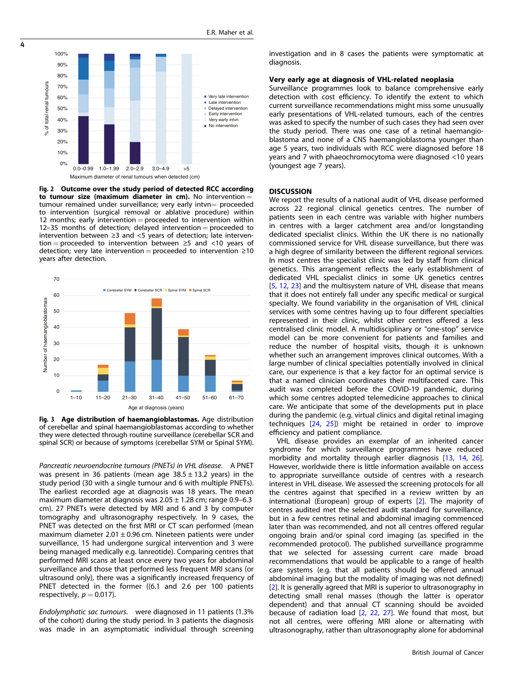

<span id="page-3-0"></span>4

Fig. 2 Outcome over the study period of detected RCC according to tumour size (maximum diameter in cm). No intervention  $=$ tumour remained under surveillance; very early intvn= proceeded to intervention (surgical removal or ablative procedure) within 12 months; early intervention = proceeded to intervention within 12–35 months of detection; delayed intervention = proceeded to intervention between ≥3 and <5 years of detection; late intervention = proceeded to intervention between  $\geq$ 5 and <10 years of detection; very late intervention = proceeded to intervention  $\geq 10$ years after detection.



Fig. 3 Age distribution of haemangioblastomas. Age distribution of cerebellar and spinal haemangioblastomas according to whether they were detected through routine surveillance (cerebellar SCR and spinal SCR) or because of symptoms (cerebellar SYM or Spinal SYM).

Pancreatic neuroendocrine tumours (PNETs) in VHL disease. A PNET was present in 36 patients (mean age  $38.5 \pm 13.2$  years) in the study period (30 with a single tumour and 6 with multiple PNETs). The earliest recorded age at diagnosis was 18 years. The mean maximum diameter at diagnosis was  $2.05 \pm 1.28$  cm; range 0.9–6.3 cm). 27 PNETs were detected by MRI and 6 and 3 by computer tomography and ultrasonography respectively. In 9 cases, the PNET was detected on the first MRI or CT scan performed (mean maximum diameter  $2.01 \pm 0.96$  cm. Nineteen patients were under surveillance, 15 had undergone surgical intervention and 3 were being managed medically e.g. lanreotide). Comparing centres that performed MRI scans at least once every two years for abdominal surveillance and those that performed less frequent MRI scans (or ultrasound only), there was a significantly increased frequency of PNET detected in the former ((6.1 and 2.6 per 100 patients respectively,  $p = 0.017$ ).

Endolymphatic sac tumours. were diagnosed in 11 patients (1.3% of the cohort) during the study period. In 3 patients the diagnosis was made in an asymptomatic individual through screening investigation and in 8 cases the patients were symptomatic at diagnosis.

## Very early age at diagnosis of VHL-related neoplasia

Surveillance programmes look to balance comprehensive early detection with cost efficiency. To identify the extent to which current surveillance recommendations might miss some unusually early presentations of VHL-related tumours, each of the centres was asked to specify the number of such cases they had seen over the study period. There was one case of a retinal haemangioblastoma and none of a CNS haemangioblastoma younger than age 5 years, two individuals with RCC were diagnosed before 18 years and 7 with phaeochromocytoma were diagnosed <10 years (youngest age 7 years).

#### **DISCUSSION**

We report the results of a national audit of VHL disease performed across 22 regional clinical genetics centres. The number of patients seen in each centre was variable with higher numbers in centres with a larger catchment area and/or longstanding dedicated specialist clinics. Within the UK there is no nationally commissioned service for VHL disease surveillance, but there was a high degree of similarity between the different regional services. In most centres the specialist clinic was led by staff from clinical genetics. This arrangement reflects the early establishment of dedicated VHL specialist clinics in some UK genetics centres [[5](#page-5-0), [12](#page-5-0), [23\]](#page-5-0) and the multisystem nature of VHL disease that means that it does not entirely fall under any specific medical or surgical specialty. We found variability in the organisation of VHL clinical services with some centres having up to four different specialties represented in their clinic, whilst other centres offered a less centralised clinic model. A multidisciplinary or "one-stop" service model can be more convenient for patients and families and reduce the number of hospital visits, though it is unknown whether such an arrangement improves clinical outcomes. With a large number of clinical specialties potentially involved in clinical care, our experience is that a key factor for an optimal service is that a named clinician coordinates their multifaceted care. This audit was completed before the COVID-19 pandemic, during which some centres adopted telemedicine approaches to clinical care. We anticipate that some of the developments put in place during the pandemic (e.g. virtual clinics and digital retinal imaging techniques [[24,](#page-5-0) [25](#page-5-0)]) might be retained in order to improve efficiency and patient compliance.

VHL disease provides an exemplar of an inherited cancer syndrome for which surveillance programmes have reduced morbidity and mortality through earlier diagnosis [[13](#page-5-0), [14,](#page-5-0) [26](#page-5-0)]. However, worldwide there is little information available on access to appropriate surveillance outside of centres with a research interest in VHL disease. We assessed the screening protocols for all the centres against that specified in a review written by an international (European) group of experts [[2\]](#page-4-0). The majority of centres audited met the selected audit standard for surveillance, but in a few centres retinal and abdominal imaging commenced later than was recommended, and not all centres offered regular ongoing brain and/or spinal cord imaging (as specified in the recommended protocol). The published surveillance programme that we selected for assessing current care made broad recommendations that would be applicable to a range of health care systems (e.g. that all patients should be offered annual abdominal imaging but the modality of imaging was not defined) [[2](#page-4-0)]. It is generally agreed that MRI is superior to ultrasonography in detecting small renal masses (though the latter is operator dependent) and that annual CT scanning should be avoided because of radiation load [[2](#page-4-0), [22](#page-5-0), [27](#page-5-0)]. We found that most, but not all centres, were offering MRI alone or alternating with ultrasonography, rather than ultrasonography alone for abdominal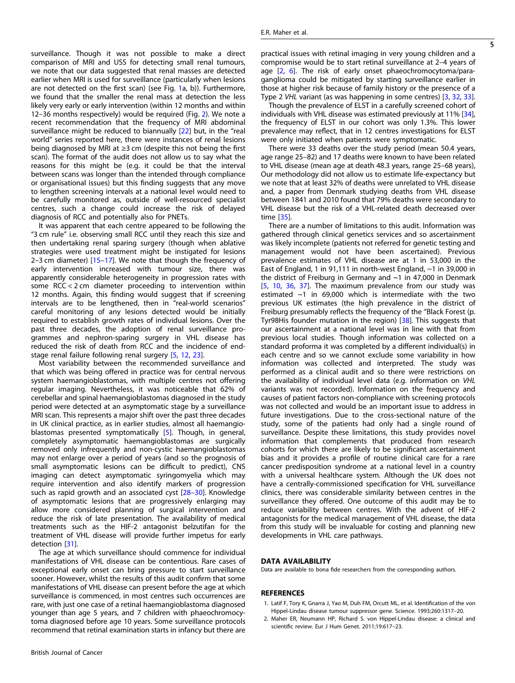<span id="page-4-0"></span>surveillance. Though it was not possible to make a direct comparison of MRI and USS for detecting small renal tumours, we note that our data suggested that renal masses are detected earlier when MRI is used for surveillance (particularly when lesions are not detected on the first scan) (see Fig. [1a](#page-2-0), b)). Furthermore, we found that the smaller the renal mass at detection the less likely very early or early intervention (within 12 months and within 12–36 months respectively) would be required (Fig. [2\)](#page-3-0). We note a recent recommendation that the frequency of MRI abdominal surveillance might be reduced to biannually [[22\]](#page-5-0) but, in the "real world" series reported here, there were instances of renal lesions being diagnosed by MRI at ≥3 cm (despite this not being the first scan). The format of the audit does not allow us to say what the reasons for this might be (e.g. it could be that the interval between scans was longer than the intended through compliance or organisational issues) but this finding suggests that any move to lengthen screening intervals at a national level would need to be carefully monitored as, outside of well-resourced specialist centres, such a change could increase the risk of delayed diagnosis of RCC and potentially also for PNETs.

It was apparent that each centre appeared to be following the "3 cm rule" i.e. observing small RCC until they reach this size and then undertaking renal sparing surgery (though when ablative strategies were used treatment might be instigated for lesions 2–3 cm diameter) [\[15](#page-5-0)–[17](#page-5-0)]. We note that though the frequency of early intervention increased with tumour size, there was apparently considerable heterogeneity in progression rates with some RCC < 2 cm diameter proceeding to intervention within 12 months. Again, this finding would suggest that if screening intervals are to be lengthened, then in "real-world scenarios" careful monitoring of any lesions detected would be initially required to establish growth rates of individual lesions. Over the past three decades, the adoption of renal surveillance programmes and nephron-sparing surgery in VHL disease has reduced the risk of death from RCC and the incidence of endstage renal failure following renal surgery [[5](#page-5-0), [12](#page-5-0), [23](#page-5-0)].

Most variability between the recommended surveillance and that which was being offered in practice was for central nervous system haemangioblastomas, with multiple centres not offering regular imaging. Nevertheless, it was noticeable that 62% of cerebellar and spinal haemangioblastomas diagnosed in the study period were detected at an asymptomatic stage by a surveillance MRI scan. This represents a major shift over the past three decades in UK clinical practice, as in earlier studies, almost all haemangioblastomas presented symptomatically [[5](#page-5-0)]. Though, in general, completely asymptomatic haemangioblastomas are surgically removed only infrequently and non-cystic haemangioblastomas may not enlarge over a period of years (and so the prognosis of small asymptomatic lesions can be difficult to predict), CNS imaging can detect asymptomatic syringomyelia which may require intervention and also identify markers of progression such as rapid growth and an associated cyst [[28](#page-5-0)-[30](#page-5-0)]. Knowledge of asymptomatic lesions that are progressively enlarging may allow more considered planning of surgical intervention and reduce the risk of late presentation. The availability of medical treatments such as the HIF-2 antagonist belzutifan for the treatment of VHL disease will provide further impetus for early detection [\[31](#page-5-0)].

The age at which surveillance should commence for individual manifestations of VHL disease can be contentious. Rare cases of exceptional early onset can bring pressure to start surveillance sooner. However, whilst the results of this audit confirm that some manifestations of VHL disease can present before the age at which surveillance is commenced, in most centres such occurrences are rare, with just one case of a retinal haemangioblastoma diagnosed younger than age 5 years, and 7 children with phaeochromocytoma diagnosed before age 10 years. Some surveillance protocols recommend that retinal examination starts in infancy but there are practical issues with retinal imaging in very young children and a compromise would be to start retinal surveillance at 2–4 years of age [2, [6](#page-5-0)]. The risk of early onset phaeochromocytoma/paraganglioma could be mitigated by starting surveillance earlier in those at higher risk because of family history or the presence of a Type 2 VHL variant (as was happening in some centres) [\[3,](#page-5-0) [32](#page-5-0), [33\]](#page-5-0).

Though the prevalence of ELST in a carefully screened cohort of individuals with VHL disease was estimated previously at 11% [\[34\]](#page-5-0), the frequency of ELST in our cohort was only 1.3%. This lower prevalence may reflect, that in 12 centres investigations for ELST were only initiated when patients were symptomatic.

There were 33 deaths over the study period (mean 50.4 years, age range 25–82) and 17 deaths were known to have been related to VHL disease (mean age at death 48.3 years, range 25–68 years), Our methodology did not allow us to estimate life-expectancy but we note that at least 32% of deaths were unrelated to VHL disease and, a paper from Denmark studying deaths from VHL disease between 1841 and 2010 found that 79% deaths were secondary to VHL disease but the risk of a VHL-related death decreased over time [\[35](#page-5-0)].

There are a number of limitations to this audit. Information was gathered through clinical genetics services and so ascertainment was likely incomplete (patients not referred for genetic testing and management would not have been ascertained). Previous prevalence estimates of VHL disease are at 1 in 53,000 in the East of England, 1 in 91,111 in north-west England, ~1 in 39,000 in the district of Freiburg in Germany and ~1 in 47,000 in Denmark [\[5,](#page-5-0) [10,](#page-5-0) [36,](#page-5-0) [37\]](#page-5-0). The maximum prevalence from our study was estimated  $\sim$ 1 in 69,000 which is intermediate with the two previous UK estimates (the high prevalence in the district of Freiburg presumably reflects the frequency of the "Black Forest (p. Tyr98His founder mutation in the region) [[38\]](#page-5-0). This suggests that our ascertainment at a national level was in line with that from previous local studies. Though information was collected on a standard proforma it was completed by a different individual(s) in each centre and so we cannot exclude some variability in how information was collected and interpreted. The study was performed as a clinical audit and so there were restrictions on the availability of individual level data (e.g. information on VHL variants was not recorded). Information on the frequency and causes of patient factors non-compliance with screening protocols was not collected and would be an important issue to address in future investigations. Due to the cross-sectional nature of the study, some of the patients had only had a single round of surveillance. Despite these limitations, this study provides novel information that complements that produced from research cohorts for which there are likely to be significant ascertainment bias and it provides a profile of routine clinical care for a rare cancer predisposition syndrome at a national level in a country with a universal healthcare system. Although the UK does not have a centrally-commissioned specification for VHL surveillance clinics, there was considerable similarity between centres in the surveillance they offered. One outcome of this audit may be to reduce variability between centres. With the advent of HIF-2 antagonists for the medical management of VHL disease, the data from this study will be invaluable for costing and planning new developments in VHL care pathways.

## DATA AVAILABILITY

Data are available to bona fide researchers from the corresponding authors.

#### **REFERENCES**

- 1. Latif F, Tory K, Gnarra J, Yao M, Duh FM, Orcutt ML, et al. Identification of the von Hippel-Lindau disease tumour suppressor gene. Science. 1993;260:1317–20.
- 2. Maher ER, Neumann HP, Richard S. von Hippel-Lindau disease: a clinical and scientific review. Eur J Hum Genet. 2011;19:617–23.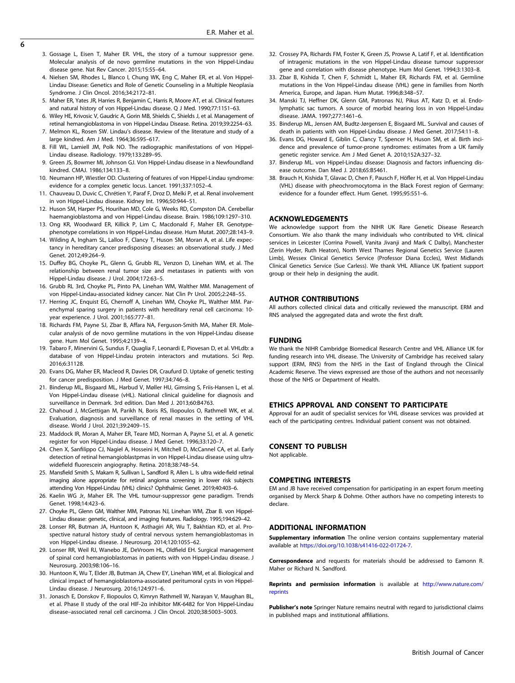- <span id="page-5-0"></span>3. Gossage L, Eisen T, Maher ER. VHL, the story of a tumour suppressor gene. Molecular analysis of de novo germline mutations in the von Hippel-Lindau disease gene. Nat Rev Cancer. 2015;15:55–64.
- 4. Nielsen SM, Rhodes L, Blanco I, Chung WK, Eng C, Maher ER, et al. Von Hippel-Lindau Disease: Genetics and Role of Genetic Counseling in a Multiple Neoplasia Syndrome. J Clin Oncol. 2016;34:2172–81.
- 5. Maher ER, Yates JR, Harries R, Benjamin C, Harris R, Moore AT, et al. Clinical features and natural history of von Hippel-Lindau disease. Q J Med. 1990;77:1151–63.
- 6. Wiley HE, Krivosic V, Gaudric A, Gorin MB, Shields C, Shields J, et al. Management of retinal hemangioblastoma in von Hippel-Lindau Disease. Retina. 2019;39:2254–63.
- 7. Melmon KL, Rosen SW. Lindau's disease. Review of the literature and study of a large kindred. Am J Med. 1964;36:595–617.
- 8. Fill WL, Lamiell JM, Polk NO. The radiographic manifestations of von Hippel-Lindau disease. Radiology. 1979;133:289–95.
- 9. Green JS, Bowmer MI, Johnson GJ. Von Hippel-Lindau disease in a Newfoundland kindred. CMAJ. 1986;134:133–8.
- 10. Neumann HP, Wiestler OD. Clustering of features of von Hippel-Lindau syndrome: evidence for a complex genetic locus. Lancet. 1991;337:1052–4.
- 11. Chauveau D, Duvic C, Chrétien Y, Paraf F, Droz D, Melki P, et al. Renal involvement in von Hippel-Lindau disease. Kidney Int. 1996;50:944–51.
- 12. Huson SM, Harper PS, Hourihan MD, Cole G, Weeks RD, Compston DA. Cerebellar haemangioblastoma and von Hippel-Lindau disease. Brain. 1986;109:1297–310.
- 13. Ong KR, Woodward ER, Killick P, Lim C, Macdonald F, Maher ER. Genotypephenotype correlations in von Hippel-Lindau disease. Hum Mutat. 2007;28:143–9.
- 14. Wilding A, Ingham SL, Lalloo F, Clancy T, Huson SM, Moran A, et al. Life expectancy in hereditary cancer predisposing diseases: an observational study. J Med Genet. 2012;49:264–9.
- 15. Duffey BG, Choyke PL, Glenn G, Grubb RL, Venzon D, Linehan WM, et al. The relationship between renal tumor size and metastases in patients with von Hippel-Lindau disease. J Urol. 2004;172:63–5.
- 16. Grubb RL 3rd, Choyke PL, Pinto PA, Linehan WM, Walther MM. Management of von Hippel-Lindau-associated kidney cancer. Nat Clin Pr Urol. 2005;2:248–55.
- 17. Herring JC, Enquist EG, Chernoff A, Linehan WM, Choyke PL, Walther MM. Parenchymal sparing surgery in patients with hereditary renal cell carcinoma: 10 year experience. J Urol. 2001;165:777–81.
- 18. Richards FM, Payne SJ, Zbar B, Affara NA, Ferguson-Smith MA, Maher ER. Molecular analysis of de novo germline mutations in the von Hippel-Lindau disease gene. Hum Mol Genet. 1995;4:2139–4.
- 19. Tabaro F, Minervini G, Sundus F, Quaglia F, Leonardi E, Piovesan D, et al. VHLdb: a database of von Hippel-Lindau protein interactors and mutations. Sci Rep. 2016;6:31128.
- 20. Evans DG, Maher ER, Macleod R, Davies DR, Craufurd D. Uptake of genetic testing for cancer predisposition. J Med Genet. 1997;34:746–8.
- 21. Binderup ML, Bisgaard ML, Harbud V, Møller HU, Gimsing S, Friis-Hansen L, et al. Von Hippel-Lindau disease (vHL). National clinical guideline for diagnosis and surveillance in Denmark. 3rd edition. Dan Med J. 2013;60:B4763.
- 22. Chahoud J, McGettigan M, Parikh N, Boris RS, Iliopoulos O, Rathmell WK, et al. Evaluation, diagnosis and surveillance of renal masses in the setting of VHL disease. World J Urol. 2021;39:2409–15.
- 23. Maddock IR, Moran A, Maher ER, Teare MD, Norman A, Payne SJ, et al. A genetic register for von Hippel-Lindau disease. J Med Genet. 1996;33:120–7.
- 24. Chen X, Sanfilippo CJ, Nagiel A, Hosseini H, Mitchell D, McCannel CA, et al. Early detection of retinal hemangioblastpmas in von Hippel-Lindau disease using ultrawidefield fluorescein angiography. Retina. 2018;38:748–54.
- 25. Mansfield Smith S, Makam R, Sullivan L, Sandford R, Allen L. Is ultra wide-field retinal imaging alone appropriate for retinal angioma screening in lower risk subjects attending Von Hippel-Lindau (VHL) clinics? Ophthalmic Genet. 2019;40:403–6.
- 26. Kaelin WG Jr, Maher ER. The VHL tumour-suppressor gene paradigm. Trends Genet. 1998;14:423–6.
- 27. Choyke PL, Glenn GM, Walther MM, Patronas NJ, Linehan WM, Zbar B. von Hippel-Lindau disease: genetic, clinical, and imaging features. Radiology. 1995;194:629–42.
- 28. Lonser RR, Butman JA, Huntoon K, Asthagiri AR, Wu T, Bakhtian KD, et al. Prospective natural history study of central nervous system hemangioblastomas in von Hippel-Lindau disease. J Neurosurg. 2014;120:1055–62.
- 29. Lonser RR, Weil RJ, Wanebo JE, DeVroom HL, Oldfield EH. Surgical management of spinal cord hemangioblastomas in patients with von Hippel-Lindau disease. J Neurosurg. 2003;98:106–16.
- 30. Huntoon K, Wu T, Elder JB, Butman JA, Chew EY, Linehan WM, et al. Biological and clinical impact of hemangioblastoma-associated peritumoral cysts in von Hippel-Lindau disease. J Neurosurg. 2016;124:971–6.
- 31. Jonasch E, Donskov F, Iliopoulos O, Kimryn Rathmell W, Narayan V, Maughan BL, et al. Phase II study of the oral HIF-2α inhibitor MK-6482 for Von Hippel-Lindau disease–associated renal cell carcinoma. J Clin Oncol. 2020;38:5003–5003.
- 32. Crossey PA, Richards FM, Foster K, Green JS, Prowse A, Latif F, et al. Identification of intragenic mutations in the von Hippel-Lindau disease tumour suppressor gene and correlation with disease phenotype. Hum Mol Genet. 1994;3:1303–8.
- 33. Zbar B, Kishida T, Chen F, Schmidt L, Maher ER, Richards FM, et al. Germline mutations in the Von Hippel-Lindau disease (VHL) gene in families from North America, Europe, and Japan. Hum Mutat. 1996;8:348–57.
- 34. Manski TJ, Heffner DK, Glenn GM, Patronas NJ, Pikus AT, Katz D, et al. Endolymphatic sac tumors. A source of morbid hearing loss in von Hippel-Lindau disease. JAMA. 1997;277:1461–6.
- 35. Binderup ML, Jensen AM, Budtz-Jørgensen E, Bisgaard ML. Survival and causes of death in patients with von Hippel-Lindau disease. J Med Genet. 2017;54:11–8.
- 36. Evans DG, Howard E, Giblin C, Clancy T, Spencer H, Huson SM, et al. Birth incidence and prevalence of tumor-prone syndromes: estimates from a UK family genetic register service. Am J Med Genet A. 2010;152A:327–32.
- 37. Binderup ML. von Hippel-Lindau disease: Diagnosis and factors influencing disease outcome. Dan Med J. 2018;65:B5461.
- 38. Brauch H, Kishida T, Glavac D, Chen F, Pausch F, Höfler H, et al. Von Hippel-Lindau (VHL) disease with pheochromocytoma in the Black Forest region of Germany: evidence for a founder effect. Hum Genet. 1995;95:551–6.

#### ACKNOWLEDGEMENTS

We acknowledge support from the NIHR UK Rare Genetic Disease Research Consortium. We also thank the many individuals who contributed to VHL clinical services in Leicester (Corrina Powell, Vanita Jivanji and Mark C Dalby), Manchester (Zerin Hyder, Ruth Heaton), North West Thames Regional Genetics Service (Lauren Limb), Wessex Clinical Genetics Service (Professor Diana Eccles), West Midlands Clinical Genetics Service (Sue Carless). We thank VHL Alliance UK fpatient support group or their help in designing the audit.

#### AUTHOR CONTRIBUTIONS

All authors collected clinical data and critically reviewed the manuscript. ERM and RNS analysed the aggregated data and wrote the first draft.

#### **FUNDING**

We thank the NIHR Cambridge Biomedical Research Centre and VHL Alliance UK for funding research into VHL disease. The University of Cambridge has received salary support (ERM, RNS) from the NHS in the East of England through the Clinical Academic Reserve. The views expressed are those of the authors and not necessarily those of the NHS or Department of Health.

#### ETHICS APPROVAL AND CONSENT TO PARTICIPATE

Approval for an audit of specialist services for VHL disease services was provided at each of the participating centres. Individual patient consent was not obtained.

## CONSENT TO PUBLISH

Not applicable.

#### COMPETING INTERESTS

EM and JB have received compensation for participating in an expert forum meeting organised by Merck Sharp & Dohme. Other authors have no competing interests to declare.

## ADDITIONAL INFORMATION

**Supplementary information** The online version contains supplementary material available at <https://doi.org/10.1038/s41416-022-01724-7>.

Correspondence and requests for materials should be addressed to Eamonn R. Maher or Richard N. Sandford.

Reprints and permission information is available at [http://www.nature.com/](http://www.nature.com/reprints) [reprints](http://www.nature.com/reprints)

Publisher's note Springer Nature remains neutral with regard to jurisdictional claims in published maps and institutional affiliations.